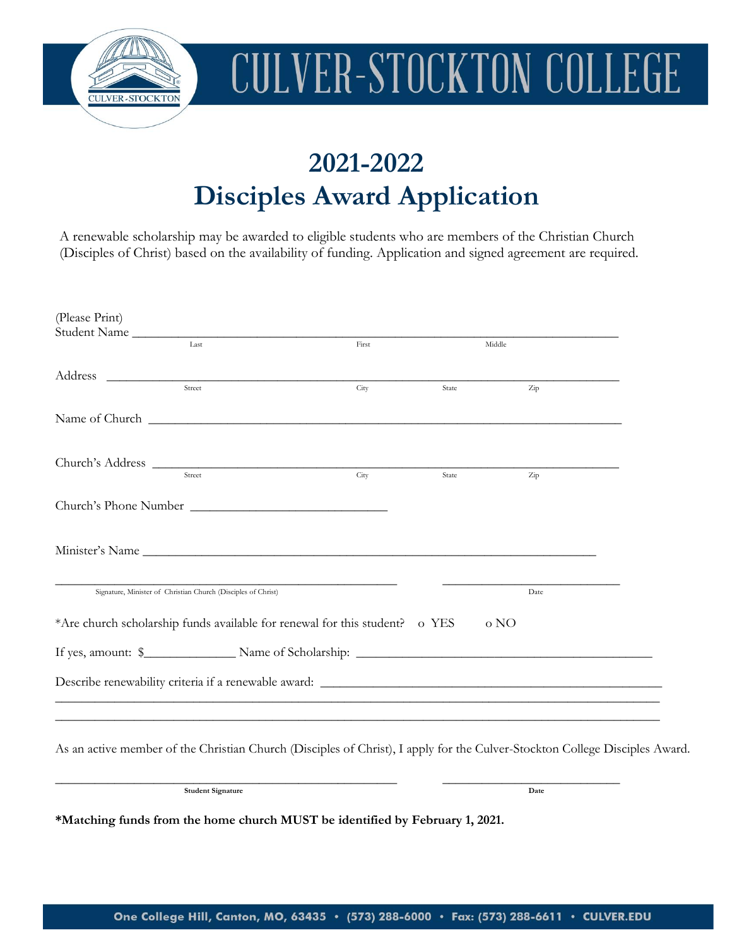

# CULVER-STOCKTON COLLEGE

## **2021-2022 Disciples Award Application**

A renewable scholarship may be awarded to eligible students who are members of the Christian Church (Disciples of Christ) based on the availability of funding. Application and signed agreement are required.

| (Please Print)<br>Student Name                                                                                                                                                                                                 |       |       |        |  |
|--------------------------------------------------------------------------------------------------------------------------------------------------------------------------------------------------------------------------------|-------|-------|--------|--|
| Last                                                                                                                                                                                                                           | First |       | Middle |  |
| Address                                                                                                                                                                                                                        |       |       |        |  |
| Street                                                                                                                                                                                                                         | City  | State | Zip    |  |
| Name of Church Lawrence and Church Lawrence and Church Lawrence and Church Lawrence and Church Lawrence and Church Lawrence and Church Lawrence and Church Lawrence and Church Lawrence and Church Lawrence and Church Lawrenc |       |       |        |  |
| Church's Address                                                                                                                                                                                                               |       |       |        |  |
| Street                                                                                                                                                                                                                         | City  | State | Zip    |  |
| Church's Phone Number                                                                                                                                                                                                          |       |       |        |  |
|                                                                                                                                                                                                                                |       |       |        |  |
| Signature, Minister of Christian Church (Disciples of Christ)                                                                                                                                                                  |       |       | Date   |  |
| *Are church scholarship funds available for renewal for this student? o YES                                                                                                                                                    |       |       | o NO   |  |
|                                                                                                                                                                                                                                |       |       |        |  |
|                                                                                                                                                                                                                                |       |       |        |  |
|                                                                                                                                                                                                                                |       |       |        |  |
| As an active member of the Christian Church (Disciples of Christ), I apply for the Culver-Stockton College Disciples Award.                                                                                                    |       |       |        |  |
| <b>Student Signature</b>                                                                                                                                                                                                       |       |       | Date   |  |
| *Matching funds from the home church MUST be identified by February 1, 2021.                                                                                                                                                   |       |       |        |  |